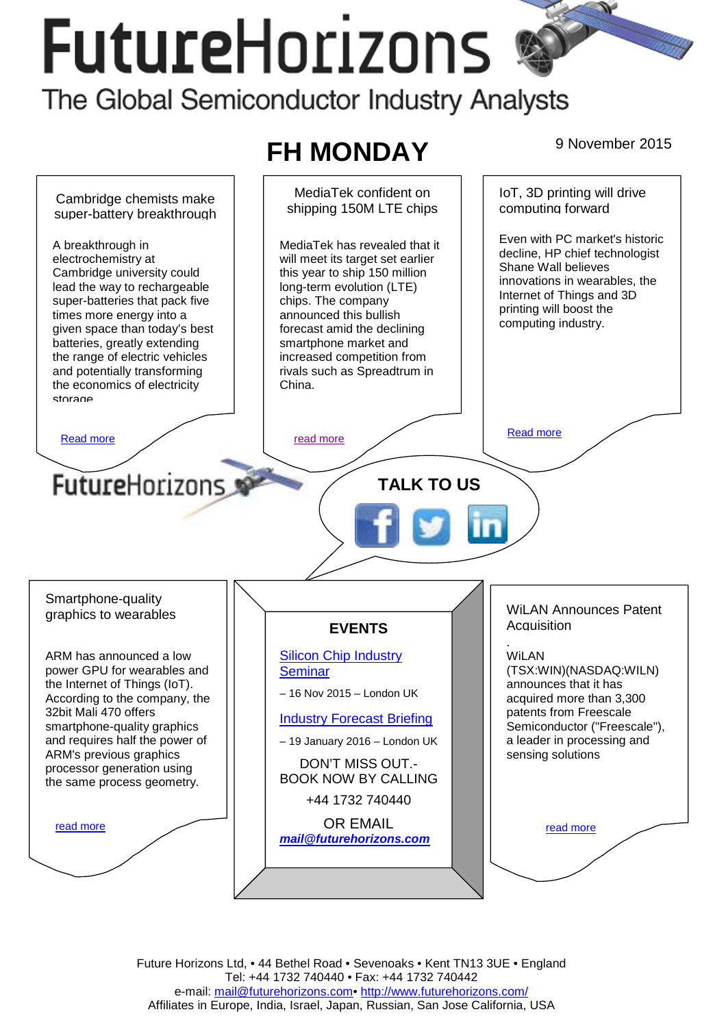# **FutureHorizons** The Global Semiconductor Industry Analysts

#### **FH MONDAY** 9 November 2015 IoT, 3D printing will drive MediaTek confident on Cambridge chemists make computing forward shipping 150M LTE chips super-battery breakthrough Even with PC market's historic A breakthrough in MediaTek has revealed that it decline, HP chief technologist electrochemistry at will meet its target set earlier Shane Wall believes Cambridge university could this year to ship 150 million innovations in wearables, the lead the way to rechargeable long-term evolution (LTE) Internet of Things and 3D super-batteries that pack five chips. The company printing will boost the times more energy into a announced this bullish computing industry. given space than today's best forecast amid the declining batteries, greatly extending smartphone market and the range of electric vehicles increased competition from and potentially transforming rivals such as Spreadtrum in China. the economics of electricity storage [Read more](#page-1-0) **Read more Read more Read more Read more FutureHorizons TALK TO US**  Smartphone-quality WiLAN Announces Patent graphics to wearables **Acquisition EVENTS**  . ARM has announced a low [Silicon Chip Industry](http://www.futurehorizons.com/page/12/silicon-chip-training)  WiLAN power GPU for wearables and **Seminar** (TSX:WIN)(NASDAQ:WILN) the Internet of Things (IoT). announces that it has – 16 Nov 2015 – London UK According to the company, the acquired more than 3,300 32bit Mali 470 offers patents from Freescale [Industry Forecast Briefing](http://www.futurehorizons.com/page/13/Semiconductor-Market-Forecast-Seminar) smartphone-quality graphics Semiconductor ("Freescale"), and requires half the power of a leader in processing and – 19 January 2016 – London UK ARM's previous graphics sensing solutions DON'T MISS OUT. processor generation using BOOK NOW BY CALLING the same process geometry. +44 1732 740440 OR EMAIL read more read more *[mail@futurehorizons.com](mailto:mail@futurehorizons.com)*

Future Horizons Ltd, • 44 Bethel Road • Sevenoaks • Kent TN13 3UE • England Tel: +44 1732 740440 • Fax: +44 1732 740442 e-mail: mail@futurehorizons.com• http://www.futurehorizons.com/ Affiliates in Europe, India, Israel, Japan, Russian, San Jose California, USA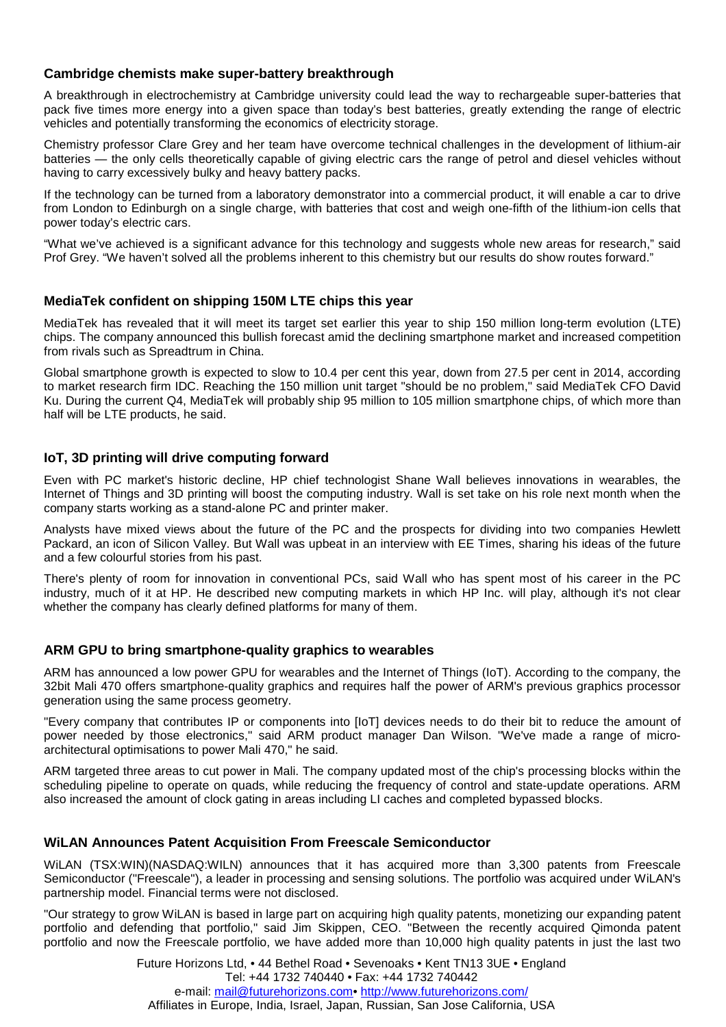# <span id="page-1-0"></span>**Cambridge chemists make super-battery breakthrough**

A breakthrough in electrochemistry at Cambridge university could lead the way to rechargeable super-batteries that pack five times more energy into a given space than today's best batteries, greatly extending the range of electric vehicles and potentially transforming the economics of electricity storage.

Chemistry professor Clare Grey and her team have overcome technical challenges in the development of lithium-air batteries — the only cells theoretically capable of giving electric cars the range of petrol and diesel vehicles without having to carry excessively bulky and heavy battery packs.

If the technology can be turned from a laboratory demonstrator into a commercial product, it will enable a car to drive from London to Edinburgh on a single charge, with batteries that cost and weigh one-fifth of the lithium-ion cells that power today's electric cars.

"What we've achieved is a significant advance for this technology and suggests whole new areas for research," said Prof Grey. "We haven't solved all the problems inherent to this chemistry but our results do show routes forward."

## **MediaTek confident on shipping 150M LTE chips this year**

MediaTek has revealed that it will meet its target set earlier this year to ship 150 million long-term evolution (LTE) chips. The company announced this bullish forecast amid the declining smartphone market and increased competition from rivals such as Spreadtrum in China.

Global smartphone growth is expected to slow to 10.4 per cent this year, down from 27.5 per cent in 2014, according to market research firm IDC. Reaching the 150 million unit target "should be no problem," said MediaTek CFO David Ku. During the current Q4, MediaTek will probably ship 95 million to 105 million smartphone chips, of which more than half will be LTE products, he said.

## **IoT, 3D printing will drive computing forward**

Even with PC market's historic decline, HP chief technologist Shane Wall believes innovations in wearables, the Internet of Things and 3D printing will boost the computing industry. Wall is set take on his role next month when the company starts working as a stand-alone PC and printer maker.

Analysts have mixed views about the future of the PC and the prospects for dividing into two companies Hewlett Packard, an icon of Silicon Valley. But Wall was upbeat in an interview with EE Times, sharing his ideas of the future and a few colourful stories from his past.

There's plenty of room for innovation in conventional PCs, said Wall who has spent most of his career in the PC industry, much of it at HP. He described new computing markets in which HP Inc. will play, although it's not clear whether the company has clearly defined platforms for many of them.

#### **ARM GPU to bring smartphone-quality graphics to wearables**

ARM has announced a low power GPU for wearables and the Internet of Things (IoT). According to the company, the 32bit Mali 470 offers smartphone-quality graphics and requires half the power of ARM's previous graphics processor generation using the same process geometry.

"Every company that contributes IP or components into [IoT] devices needs to do their bit to reduce the amount of power needed by those electronics," said ARM product manager Dan Wilson. "We've made a range of microarchitectural optimisations to power Mali 470," he said.

ARM targeted three areas to cut power in Mali. The company updated most of the chip's processing blocks within the scheduling pipeline to operate on quads, while reducing the frequency of control and state-update operations. ARM also increased the amount of clock gating in areas including LI caches and completed bypassed blocks.

#### **WiLAN Announces Patent Acquisition From Freescale Semiconductor**

WiLAN (TSX:WIN)(NASDAQ:WILN) announces that it has acquired more than 3,300 patents from Freescale Semiconductor ("Freescale"), a leader in processing and sensing solutions. The portfolio was acquired under WiLAN's partnership model. Financial terms were not disclosed.

"Our strategy to grow WiLAN is based in large part on acquiring high quality patents, monetizing our expanding patent portfolio and defending that portfolio," said Jim Skippen, CEO. "Between the recently acquired Qimonda patent portfolio and now the Freescale portfolio, we have added more than 10,000 high quality patents in just the last two